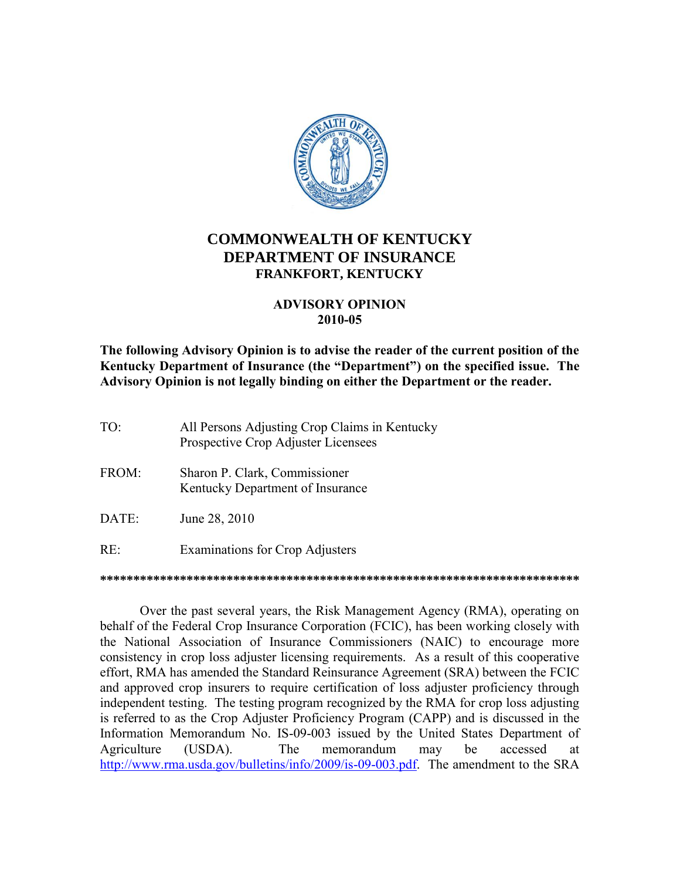

## **COMMONWEALTH OF KENTUCKY DEPARTMENT OF INSURANCE FRANKFORT, KENTUCKY**

## **ADVISORY OPINION** 2010-05

The following Advisory Opinion is to advise the reader of the current position of the Kentucky Department of Insurance (the "Department") on the specified issue. The Advisory Opinion is not legally binding on either the Department or the reader.

- TO: All Persons Adjusting Crop Claims in Kentucky Prospective Crop Adjuster Licensees
- FROM: Sharon P. Clark, Commissioner Kentucky Department of Insurance
- DATE: June 28, 2010
- $RE:$ **Examinations for Crop Adjusters**

Over the past several years, the Risk Management Agency (RMA), operating on behalf of the Federal Crop Insurance Corporation (FCIC), has been working closely with the National Association of Insurance Commissioners (NAIC) to encourage more consistency in crop loss adjuster licensing requirements. As a result of this cooperative effort, RMA has amended the Standard Reinsurance Agreement (SRA) between the FCIC and approved crop insurers to require certification of loss adjuster proficiency through independent testing. The testing program recognized by the RMA for crop loss adjusting is referred to as the Crop Adjuster Proficiency Program (CAPP) and is discussed in the Information Memorandum No. IS-09-003 issued by the United States Department of Agriculture **The** memorandum (USDA). may he accessed at http://www.rma.usda.gov/bulletins/info/2009/is-09-003.pdf. The amendment to the SRA